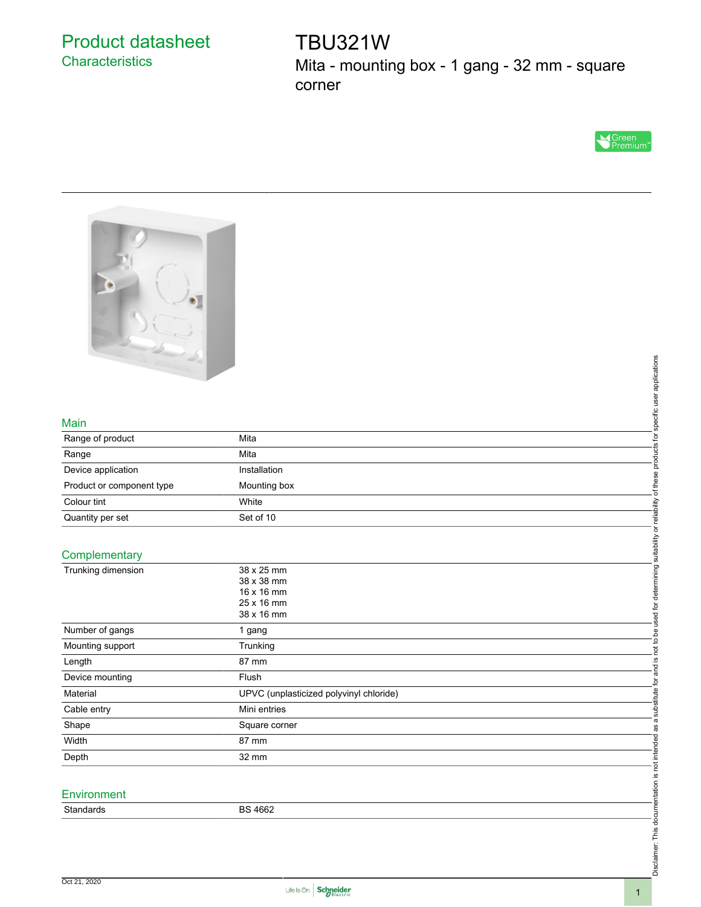# Product datasheet **Characteristics**

TBU321W Mita - mounting box - 1 gang - 32 mm - square corner





#### Main

| Range of product          | Mita         |  |
|---------------------------|--------------|--|
| Range                     | Mita         |  |
| Device application        | Installation |  |
| Product or component type | Mounting box |  |
| Colour tint               | White        |  |
| Quantity per set          | Set of 10    |  |
|                           |              |  |

### **Complementary**

| $\left\vert \left\langle \mathcal{L}_{\alpha}\right\rangle \right\vert$ |                                         |                                                           |
|-------------------------------------------------------------------------|-----------------------------------------|-----------------------------------------------------------|
|                                                                         |                                         | specific user applications                                |
|                                                                         |                                         |                                                           |
|                                                                         |                                         |                                                           |
|                                                                         |                                         |                                                           |
| Main                                                                    |                                         |                                                           |
| Range of product                                                        | Mita                                    |                                                           |
| Range                                                                   | Mita                                    | products for                                              |
| Device application                                                      | Installation                            |                                                           |
| Product or component type                                               | Mounting box                            | of these                                                  |
| Colour tint                                                             | White                                   |                                                           |
| Quantity per set                                                        | Set of 10                               |                                                           |
|                                                                         |                                         |                                                           |
| Complementary                                                           |                                         |                                                           |
| Trunking dimension                                                      | 38 x 25 mm                              |                                                           |
|                                                                         | 38 x 38 mm                              |                                                           |
|                                                                         | 16 x 16 mm                              |                                                           |
|                                                                         | 25 x 16 mm                              |                                                           |
|                                                                         | 38 x 16 mm                              |                                                           |
| Number of gangs                                                         | 1 gang                                  | not to be used for determining suitability or reliability |
| Mounting support                                                        | Trunking                                |                                                           |
| Length                                                                  | 87 mm                                   | <u>.ഗ</u>                                                 |
| Device mounting                                                         | Flush                                   | and                                                       |
| Material                                                                | UPVC (unplasticized polyvinyl chloride) | a substitute for                                          |
| Cable entry                                                             | Mini entries                            |                                                           |
| Shape                                                                   | Square corner                           |                                                           |
| Width                                                                   | 87 mm                                   |                                                           |
| Depth                                                                   | 32 mm                                   | Disclaimer: This documentation is not intended as         |
|                                                                         |                                         |                                                           |
| Environment                                                             |                                         |                                                           |
|                                                                         |                                         |                                                           |
| Standards                                                               | <b>BS 4662</b>                          |                                                           |
|                                                                         |                                         |                                                           |
|                                                                         |                                         |                                                           |
|                                                                         |                                         |                                                           |
|                                                                         |                                         |                                                           |
|                                                                         |                                         |                                                           |

## **Environment**

Disclaimer: This documentation is not intended as a substitute for and is not to be used for determining suitability or reliability of these products for specific user applications